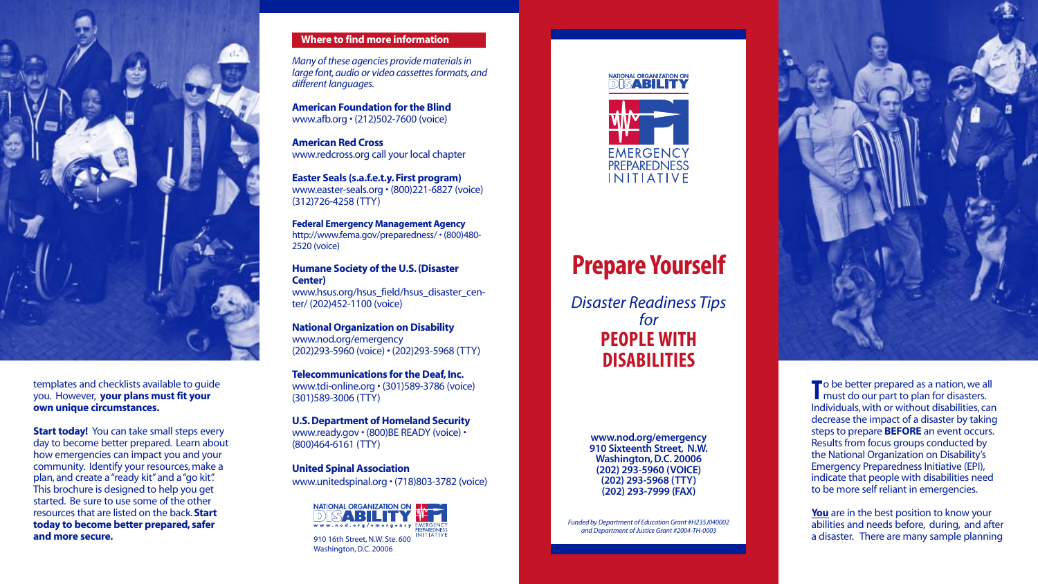# **P repare Yourself**

*Disaster Readiness Tips for*  **PEOPLE WITH DISABILITIES**

> **www.nod.org/emergency 910 Six teenth Street, N.W. Washington, D.C. 20006 (202) 293-5960 ( VOICE) (202) 293-5968 ( T T Y ) (202) 293-7999 (FAX)**

*Funded by Department of Education Grant #H235J040002 and Department of Justice G rant #2004-TH-0003*



*Many of these agencies provide materials in large font, audio or video cassettes formats, and different languages.*

**Humane Society of the U.S. (Disaster Center)** www.hsus.org/hsus\_field/hsus\_disaster\_cen-

**American Foundation for the Blind** www.afb.org • (212)502-7600 (voice)

**American Red Cross** www.redcross.org call your local chapter

**Easter Seals (s.a.f.e.t.y. First program)** www.easter-seals.org • (800)221-6827 (voice) (312)726-4258 (TTY)

**Federal Emergency Management Agency** http://www.fema.gov/preparedness/ • (800)480- 2520 (voice)

ter/ (202)452-1100 (voice)

**National Organization on Disability** www.nod.org/emergency (202)293-5960 (voice) • (202)293-5968 (TTY)

**Telecommunications for the Deaf, Inc.** www.tdi-online.org • (301)589-3786 (voice) (301)589-3006 ( T T Y )

To be better prepared as a nation, we all must do our part to plan for disasters. Individuals, with or without disabilities, can decrease the impact of a disaster by taking steps to prepare **BEFORE** an event occurs. Results from focus groups conducted by the N ational Organization on Disability's Emergency Preparedness Initiative (EPI), indic a te that people with disabilities need to be more self reliant in emergencies.

**U.S. Department of Homeland Security**  www.ready.gov • (800)BE READY (voice) • (800)464-6161 ( T T Y )

> You are in the best position to know your abilities and needs before, during, and after a disaster. There are many sample planning

**United Spinal Association** www.unitedspinal.org • (718)803-3782 (voice)



templates and checklists available to guide you. However, **your plans must fit your own unique circumstances.**

**Start today!** You can take small steps every day to become better prepared. Learn about how emergencies can impact you and your community. Identify your resources, make a plan, and crea te a "ready kit"and a "go kit". This brochure is designed to help you get started. Be sure to use some of the other resources that are listed on the back.**Start today to become better prepared, safer and more secure. and more secure. 1910 16th Street, N.W. Ste. 600** 







## **Where to find more information**